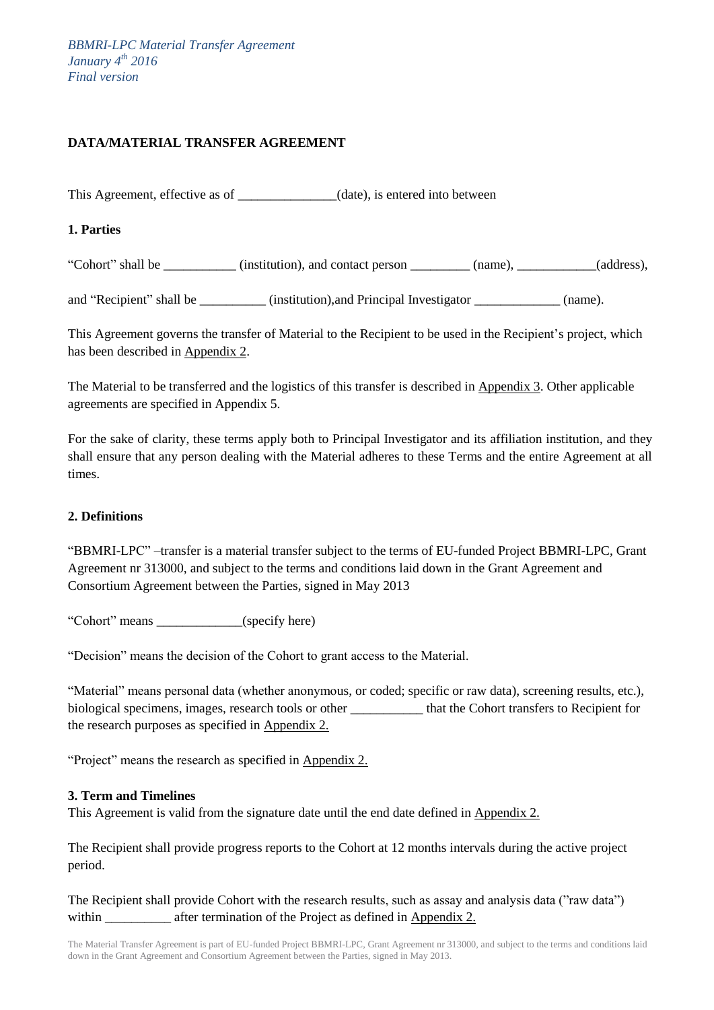# **DATA/MATERIAL TRANSFER AGREEMENT**

This Agreement, effective as of  $_1$  (date), is entered into between

**1. Parties** 

"Cohort" shall be \_\_\_\_\_\_\_\_\_\_\_ (institution), and contact person \_\_\_\_\_\_\_\_\_ (name), \_\_\_\_\_\_\_\_\_\_\_\_(address),

and "Recipient" shall be \_\_\_\_\_\_\_\_\_\_ (institution), and Principal Investigator \_\_\_\_\_\_\_\_\_\_\_\_ (name).

This Agreement governs the transfer of Material to the Recipient to be used in the Recipient's project, which has been described in Appendix 2.

The Material to be transferred and the logistics of this transfer is described in Appendix 3. Other applicable agreements are specified in Appendix 5.

For the sake of clarity, these terms apply both to Principal Investigator and its affiliation institution, and they shall ensure that any person dealing with the Material adheres to these Terms and the entire Agreement at all times.

# **2. Definitions**

"BBMRI-LPC" –transfer is a material transfer subject to the terms of EU-funded Project BBMRI-LPC, Grant Agreement nr 313000, and subject to the terms and conditions laid down in the Grant Agreement and Consortium Agreement between the Parties, signed in May 2013

"Cohort" means \_\_\_\_\_\_\_\_\_\_\_\_\_(specify here)

"Decision" means the decision of the Cohort to grant access to the Material.

"Material" means personal data (whether anonymous, or coded; specific or raw data), screening results, etc.), biological specimens, images, research tools or other \_\_\_\_\_\_\_\_\_\_\_ that the Cohort transfers to Recipient for the research purposes as specified in Appendix 2.

"Project" means the research as specified in Appendix 2.

#### **3. Term and Timelines**

This Agreement is valid from the signature date until the end date defined in Appendix 2.

The Recipient shall provide progress reports to the Cohort at 12 months intervals during the active project period.

The Recipient shall provide Cohort with the research results, such as assay and analysis data ("raw data") within after termination of the Project as defined in Appendix 2.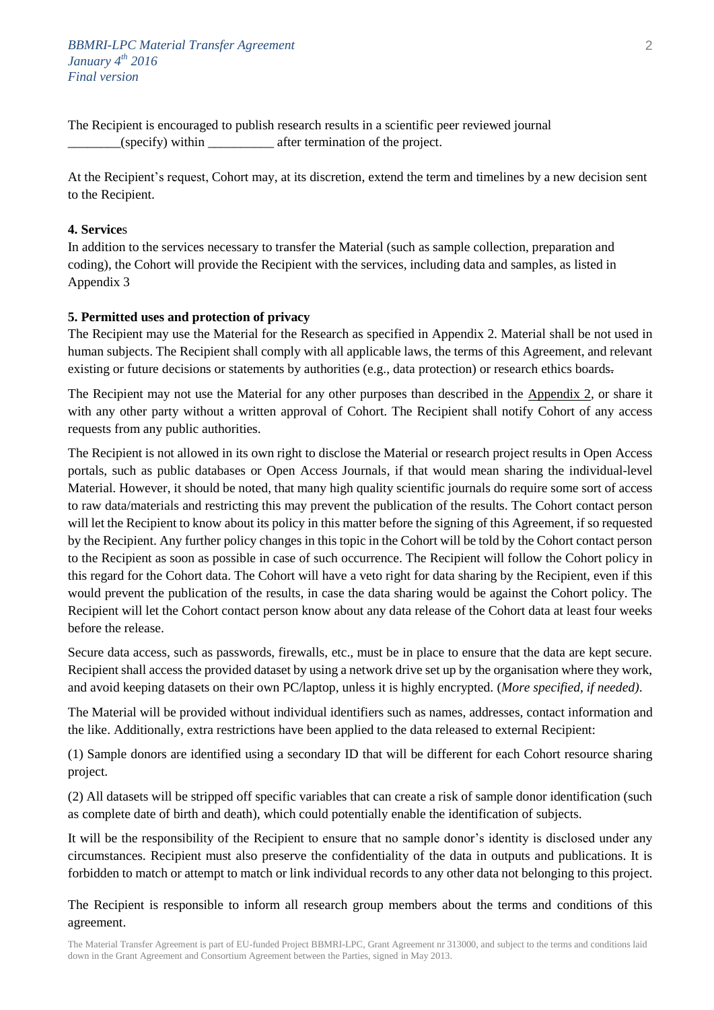The Recipient is encouraged to publish research results in a scientific peer reviewed journal \_\_\_\_\_\_\_\_(specify) within \_\_\_\_\_\_\_\_\_\_ after termination of the project.

At the Recipient's request, Cohort may, at its discretion, extend the term and timelines by a new decision sent to the Recipient.

## **4. Service**s

In addition to the services necessary to transfer the Material (such as sample collection, preparation and coding), the Cohort will provide the Recipient with the services, including data and samples, as listed in Appendix 3

## **5. Permitted uses and protection of privacy**

The Recipient may use the Material for the Research as specified in Appendix 2. Material shall be not used in human subjects. The Recipient shall comply with all applicable laws, the terms of this Agreement, and relevant existing or future decisions or statements by authorities (e.g., data protection) or research ethics boards.

The Recipient may not use the Material for any other purposes than described in the Appendix 2, or share it with any other party without a written approval of Cohort. The Recipient shall notify Cohort of any access requests from any public authorities.

The Recipient is not allowed in its own right to disclose the Material or research project results in Open Access portals, such as public databases or Open Access Journals, if that would mean sharing the individual-level Material. However, it should be noted, that many high quality scientific journals do require some sort of access to raw data/materials and restricting this may prevent the publication of the results. The Cohort contact person will let the Recipient to know about its policy in this matter before the signing of this Agreement, if so requested by the Recipient. Any further policy changes in this topic in the Cohort will be told by the Cohort contact person to the Recipient as soon as possible in case of such occurrence. The Recipient will follow the Cohort policy in this regard for the Cohort data. The Cohort will have a veto right for data sharing by the Recipient, even if this would prevent the publication of the results, in case the data sharing would be against the Cohort policy. The Recipient will let the Cohort contact person know about any data release of the Cohort data at least four weeks before the release.

Secure data access, such as passwords, firewalls, etc., must be in place to ensure that the data are kept secure. Recipient shall access the provided dataset by using a network drive set up by the organisation where they work, and avoid keeping datasets on their own PC/laptop, unless it is highly encrypted. (*More specified, if needed)*.

The Material will be provided without individual identifiers such as names, addresses, contact information and the like. Additionally, extra restrictions have been applied to the data released to external Recipient:

(1) Sample donors are identified using a secondary ID that will be different for each Cohort resource sharing project.

(2) All datasets will be stripped off specific variables that can create a risk of sample donor identification (such as complete date of birth and death), which could potentially enable the identification of subjects.

It will be the responsibility of the Recipient to ensure that no sample donor's identity is disclosed under any circumstances. Recipient must also preserve the confidentiality of the data in outputs and publications. It is forbidden to match or attempt to match or link individual records to any other data not belonging to this project.

The Recipient is responsible to inform all research group members about the terms and conditions of this agreement.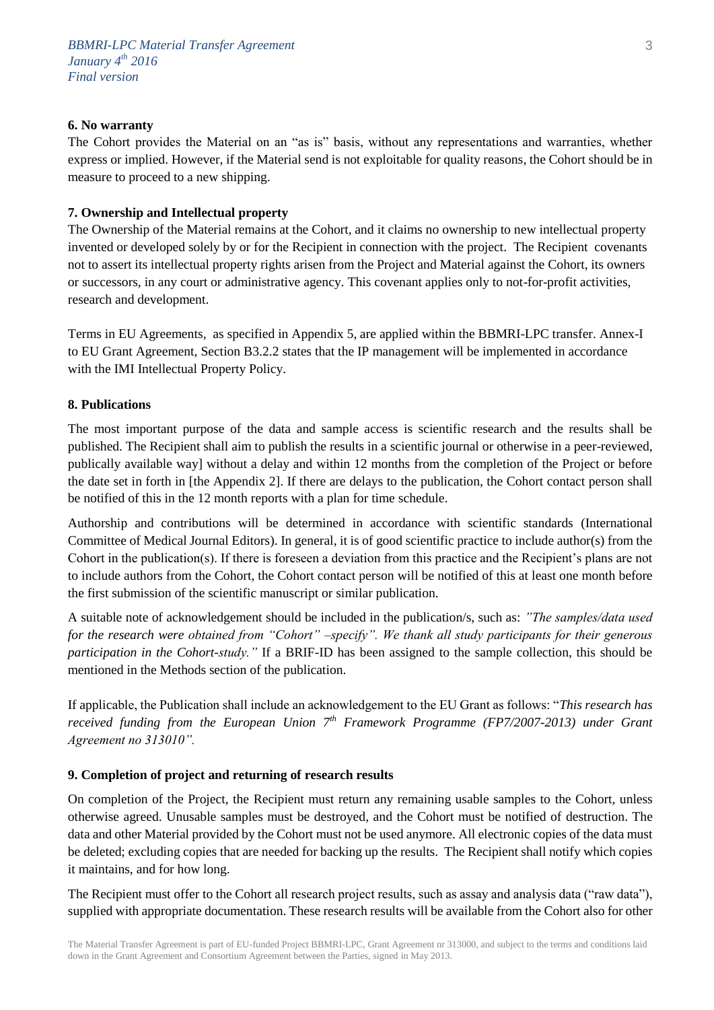# **6. No warranty**

The Cohort provides the Material on an "as is" basis, without any representations and warranties, whether express or implied. However, if the Material send is not exploitable for quality reasons, the Cohort should be in measure to proceed to a new shipping.

#### **7. Ownership and Intellectual property**

The Ownership of the Material remains at the Cohort, and it claims no ownership to new intellectual property invented or developed solely by or for the Recipient in connection with the project. The Recipient covenants not to assert its intellectual property rights arisen from the Project and Material against the Cohort, its owners or successors, in any court or administrative agency. This covenant applies only to not-for-profit activities, research and development.

Terms in EU Agreements, as specified in Appendix 5, are applied within the BBMRI-LPC transfer. Annex-I to EU Grant Agreement, Section B3.2.2 states that the IP management will be implemented in accordance with the IMI Intellectual Property Policy.

#### **8. Publications**

The most important purpose of the data and sample access is scientific research and the results shall be published. The Recipient shall aim to publish the results in a scientific journal or otherwise in a peer-reviewed, publically available way] without a delay and within 12 months from the completion of the Project or before the date set in forth in [the Appendix 2]. If there are delays to the publication, the Cohort contact person shall be notified of this in the 12 month reports with a plan for time schedule.

Authorship and contributions will be determined in accordance with scientific standards (International Committee of Medical Journal Editors). In general, it is of good scientific practice to include author(s) from the Cohort in the publication(s). If there is foreseen a deviation from this practice and the Recipient's plans are not to include authors from the Cohort, the Cohort contact person will be notified of this at least one month before the first submission of the scientific manuscript or similar publication.

A suitable note of acknowledgement should be included in the publication/s, such as: *"The samples/data used for the research were obtained from "Cohort" –specify". We thank all study participants for their generous participation in the Cohort-study."* If a BRIF-ID has been assigned to the sample collection, this should be mentioned in the Methods section of the publication.

If applicable, the Publication shall include an acknowledgement to the EU Grant as follows: "*This research has received funding from the European Union 7th Framework Programme (FP7/2007-2013) under Grant Agreement no 313010".*

#### **9. Completion of project and returning of research results**

On completion of the Project, the Recipient must return any remaining usable samples to the Cohort, unless otherwise agreed. Unusable samples must be destroyed, and the Cohort must be notified of destruction. The data and other Material provided by the Cohort must not be used anymore. All electronic copies of the data must be deleted; excluding copies that are needed for backing up the results. The Recipient shall notify which copies it maintains, and for how long.

The Recipient must offer to the Cohort all research project results, such as assay and analysis data ("raw data"), supplied with appropriate documentation. These research results will be available from the Cohort also for other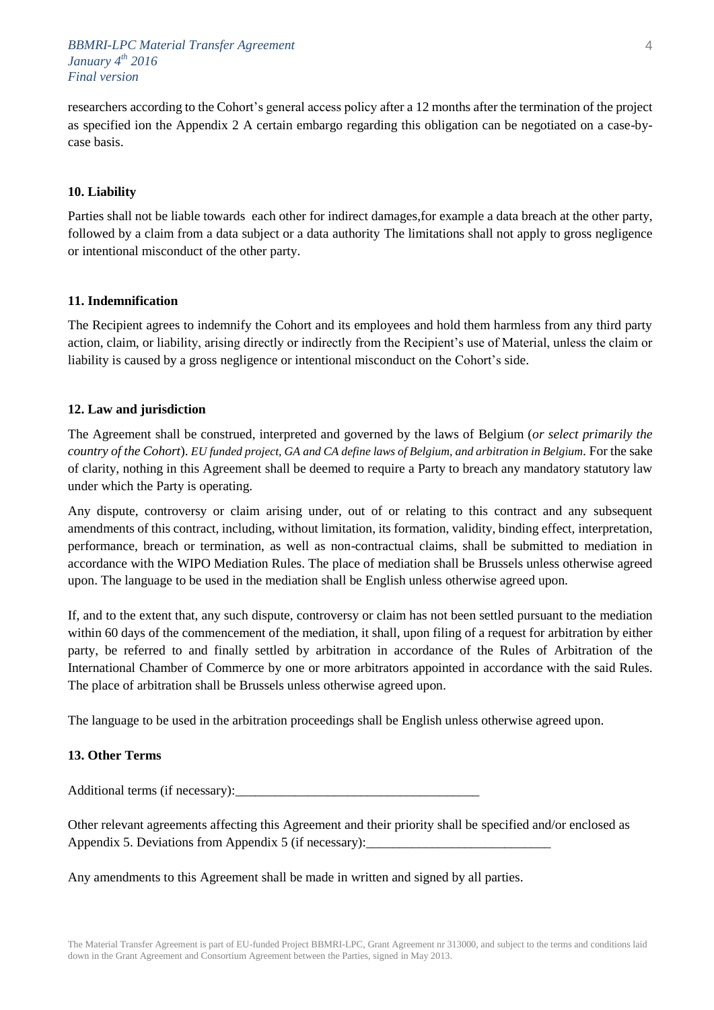## *BBMRI-LPC Material Transfer Agreement January 4th 2016 Final version*

researchers according to the Cohort's general access policy after a 12 months after the termination of the project as specified ion the Appendix 2 A certain embargo regarding this obligation can be negotiated on a case-bycase basis.

#### **10. Liability**

Parties shall not be liable towards each other for indirect damages,for example a data breach at the other party, followed by a claim from a data subject or a data authority The limitations shall not apply to gross negligence or intentional misconduct of the other party.

#### **11. Indemnification**

The Recipient agrees to indemnify the Cohort and its employees and hold them harmless from any third party action, claim, or liability, arising directly or indirectly from the Recipient's use of Material, unless the claim or liability is caused by a gross negligence or intentional misconduct on the Cohort's side.

#### **12. Law and jurisdiction**

The Agreement shall be construed, interpreted and governed by the laws of Belgium (*or select primarily the country of the Cohort*). *EU funded project, GA and CA define laws of Belgium, and arbitration in Belgium.* For the sake of clarity, nothing in this Agreement shall be deemed to require a Party to breach any mandatory statutory law under which the Party is operating.

Any dispute, controversy or claim arising under, out of or relating to this contract and any subsequent amendments of this contract, including, without limitation, its formation, validity, binding effect, interpretation, performance, breach or termination, as well as non-contractual claims, shall be submitted to mediation in accordance with the WIPO Mediation Rules. The place of mediation shall be Brussels unless otherwise agreed upon. The language to be used in the mediation shall be English unless otherwise agreed upon.

If, and to the extent that, any such dispute, controversy or claim has not been settled pursuant to the mediation within 60 days of the commencement of the mediation, it shall, upon filing of a request for arbitration by either party, be referred to and finally settled by arbitration in accordance of the Rules of Arbitration of the International Chamber of Commerce by one or more arbitrators appointed in accordance with the said Rules. The place of arbitration shall be Brussels unless otherwise agreed upon.

The language to be used in the arbitration proceedings shall be English unless otherwise agreed upon.

## **13. Other Terms**

Additional terms (if necessary):

Other relevant agreements affecting this Agreement and their priority shall be specified and/or enclosed as Appendix 5. Deviations from Appendix 5 (if necessary):

Any amendments to this Agreement shall be made in written and signed by all parties.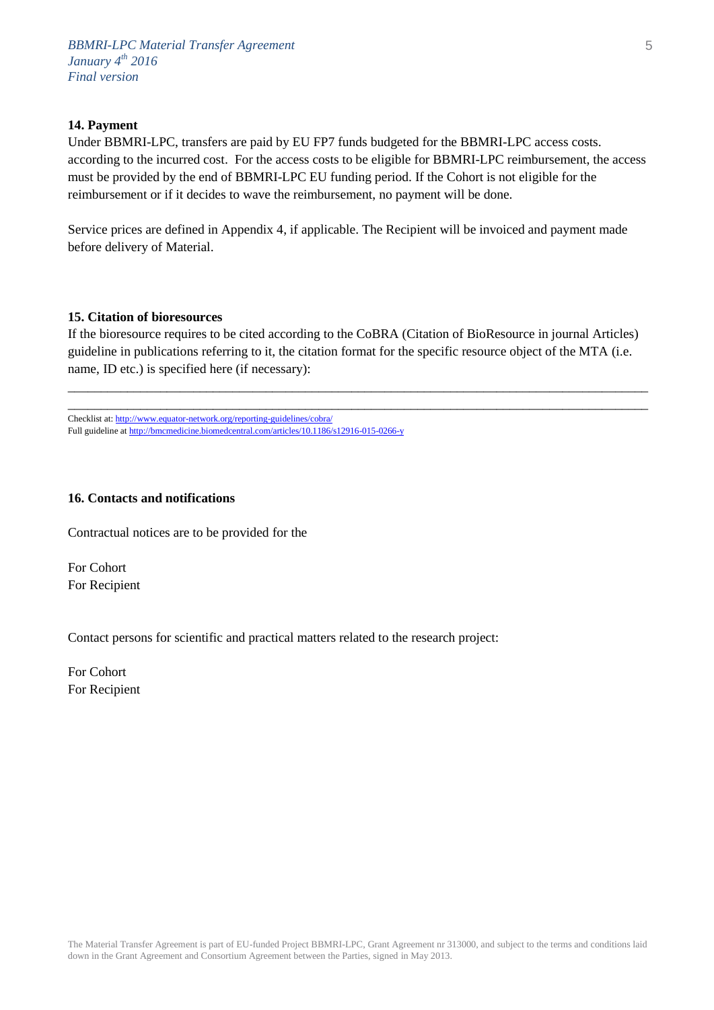#### **14. Payment**

Under BBMRI-LPC, transfers are paid by EU FP7 funds budgeted for the BBMRI-LPC access costs. according to the incurred cost. For the access costs to be eligible for BBMRI-LPC reimbursement, the access must be provided by the end of BBMRI-LPC EU funding period. If the Cohort is not eligible for the reimbursement or if it decides to wave the reimbursement, no payment will be done.

Service prices are defined in Appendix 4, if applicable. The Recipient will be invoiced and payment made before delivery of Material.

#### **15. Citation of bioresources**

If the bioresource requires to be cited according to the CoBRA (Citation of BioResource in journal Articles) guideline in publications referring to it, the citation format for the specific resource object of the MTA (i.e. name, ID etc.) is specified here (if necessary):

\_\_\_\_\_\_\_\_\_\_\_\_\_\_\_\_\_\_\_\_\_\_\_\_\_\_\_\_\_\_\_\_\_\_\_\_\_\_\_\_\_\_\_\_\_\_\_\_\_\_\_\_\_\_\_\_\_\_\_\_\_\_\_\_\_\_\_\_\_\_\_\_\_\_\_\_\_\_\_\_\_\_\_\_\_\_\_\_ \_\_\_\_\_\_\_\_\_\_\_\_\_\_\_\_\_\_\_\_\_\_\_\_\_\_\_\_\_\_\_\_\_\_\_\_\_\_\_\_\_\_\_\_\_\_\_\_\_\_\_\_\_\_\_\_\_\_\_\_\_\_\_\_\_\_\_\_\_\_\_\_\_\_\_\_\_\_\_\_\_\_\_\_\_\_\_\_

Checklist at[: http://www.equator-network.org/reporting-guidelines/cobra/](http://www.equator-network.org/reporting-guidelines/cobra/) Full guideline a[t http://bmcmedicine.biomedcentral.com/articles/10.1186/s12916-015-0266-y](http://bmcmedicine.biomedcentral.com/articles/10.1186/s12916-015-0266-y)

#### **16. Contacts and notifications**

Contractual notices are to be provided for the

For Cohort For Recipient

Contact persons for scientific and practical matters related to the research project:

For Cohort For Recipient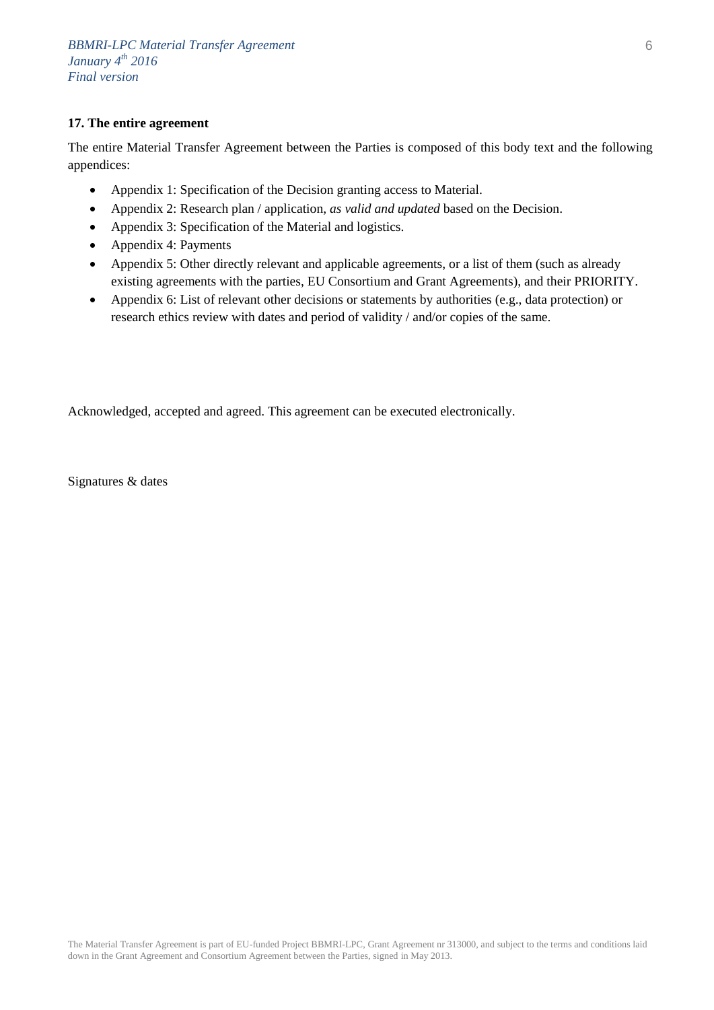## **17. The entire agreement**

The entire Material Transfer Agreement between the Parties is composed of this body text and the following appendices:

- Appendix 1: Specification of the Decision granting access to Material.
- Appendix 2: Research plan / application, *as valid and updated* based on the Decision.
- Appendix 3: Specification of the Material and logistics.
- Appendix 4: Payments
- Appendix 5: Other directly relevant and applicable agreements, or a list of them (such as already existing agreements with the parties, EU Consortium and Grant Agreements), and their PRIORITY.
- Appendix 6: List of relevant other decisions or statements by authorities (e.g., data protection) or research ethics review with dates and period of validity / and/or copies of the same.

Acknowledged, accepted and agreed. This agreement can be executed electronically.

Signatures & dates